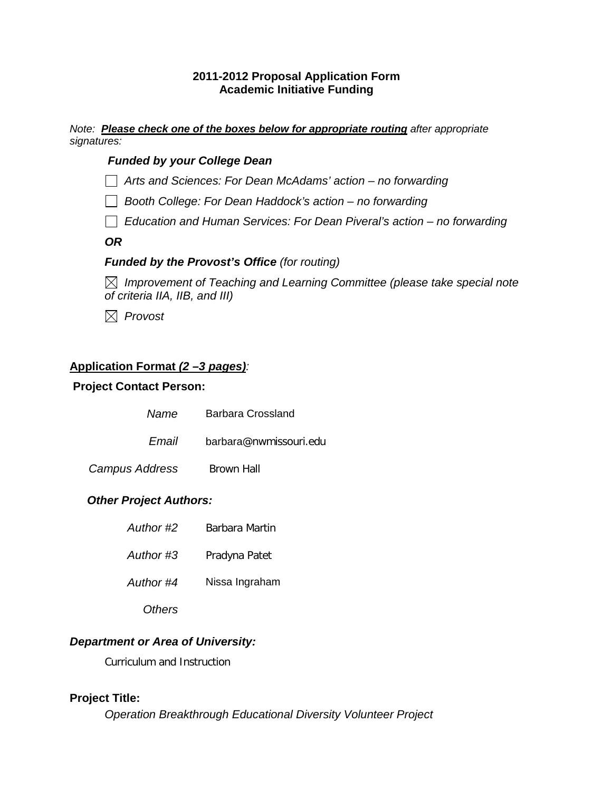### **2011-2012 Proposal Application Form Academic Initiative Funding**

*Note: Please check one of the boxes below for appropriate routing after appropriate signatures:* 

## *Funded by your College Dean*

*Arts and Sciences: For Dean McAdams' action – no forwarding*

*Booth College: For Dean Haddock's action – no forwarding* 

 *Education and Human Services: For Dean Piveral's action – no forwarding* 

*OR* 

## *Funded by the Provost's Office (for routing)*

 *Improvement of Teaching and Learning Committee (please take special note of criteria IIA, IIB, and III)* 

 *Provost*

# **Application Format** *(2 –3 pages):*

### **Project Contact Person:**

| Name           | <b>Barbara Crossland</b> |
|----------------|--------------------------|
| Email          | barbara@nwmissouri.edu   |
| Campus Address | Brown Hall               |
|                |                          |

## *Other Project Authors:*

| Author #2 | Barbara Martin |
|-----------|----------------|
| Author #3 | Pradyna Patet  |
| Author #4 | Nissa Ingraham |
| Others    |                |

# *Department or Area of University:*

Curriculum and Instruction

## **Project Title:**

*Operation Breakthrough Educational Diversity Volunteer Project*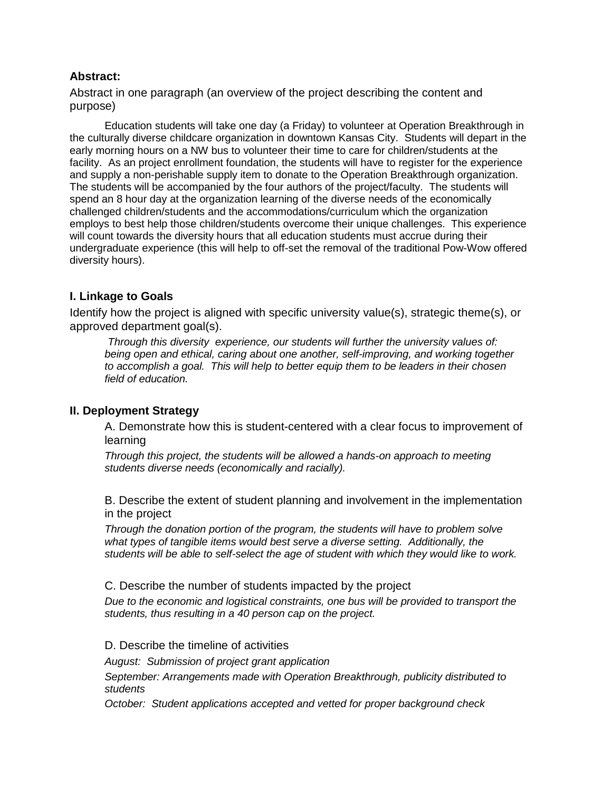#### **Abstract:**

Abstract in one paragraph (an overview of the project describing the content and purpose)

Education students will take one day (a Friday) to volunteer at Operation Breakthrough in the culturally diverse childcare organization in downtown Kansas City. Students will depart in the early morning hours on a NW bus to volunteer their time to care for children/students at the facility. As an project enrollment foundation, the students will have to register for the experience and supply a non-perishable supply item to donate to the Operation Breakthrough organization. The students will be accompanied by the four authors of the project/faculty. The students will spend an 8 hour day at the organization learning of the diverse needs of the economically challenged children/students and the accommodations/curriculum which the organization employs to best help those children/students overcome their unique challenges. This experience will count towards the diversity hours that all education students must accrue during their undergraduate experience (this will help to off-set the removal of the traditional Pow-Wow offered diversity hours).

## **I. Linkage to Goals**

Identify how the project is aligned with specific university value(s), strategic theme(s), or approved department goal(s).

*Through this diversity experience, our students will further the university values of: being open and ethical, caring about one another, self-improving, and working together to accomplish a goal. This will help to better equip them to be leaders in their chosen field of education.*

#### **II. Deployment Strategy**

A. Demonstrate how this is student-centered with a clear focus to improvement of learning

*Through this project, the students will be allowed a hands-on approach to meeting students diverse needs (economically and racially).*

B. Describe the extent of student planning and involvement in the implementation in the project

*Through the donation portion of the program, the students will have to problem solve what types of tangible items would best serve a diverse setting. Additionally, the students will be able to self-select the age of student with which they would like to work.*

#### C. Describe the number of students impacted by the project

*Due to the economic and logistical constraints, one bus will be provided to transport the students, thus resulting in a 40 person cap on the project.*

#### D. Describe the timeline of activities

*August: Submission of project grant application*

*September: Arrangements made with Operation Breakthrough, publicity distributed to students*

*October: Student applications accepted and vetted for proper background check*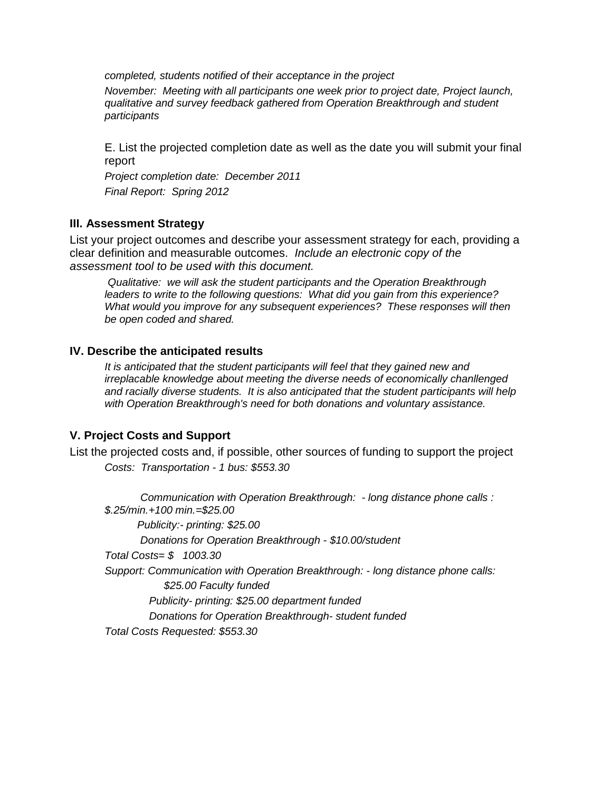*completed, students notified of their acceptance in the project*

*November: Meeting with all participants one week prior to project date, Project launch, qualitative and survey feedback gathered from Operation Breakthrough and student participants*

E. List the projected completion date as well as the date you will submit your final report

*Project completion date: December 2011 Final Report: Spring 2012*

#### **III. Assessment Strategy**

List your project outcomes and describe your assessment strategy for each, providing a clear definition and measurable outcomes. *Include an electronic copy of the assessment tool to be used with this document.*

*Qualitative: we will ask the student participants and the Operation Breakthrough leaders to write to the following questions: What did you gain from this experience? What would you improve for any subsequent experiences? These responses will then be open coded and shared.*

#### **IV. Describe the anticipated results**

*It is anticipated that the student participants will feel that they gained new and irreplacable knowledge about meeting the diverse needs of economically chanllenged and racially diverse students. It is also anticipated that the student participants will help with Operation Breakthrough's need for both donations and voluntary assistance.*

#### **V. Project Costs and Support**

List the projected costs and, if possible, other sources of funding to support the project *Costs: Transportation - 1 bus: \$553.30*

 *Communication with Operation Breakthrough: - long distance phone calls : \$.25/min.+100 min.=\$25.00 Publicity:- printing: \$25.00 Donations for Operation Breakthrough - \$10.00/student Total Costs= \$ 1003.30 Support: Communication with Operation Breakthrough: - long distance phone calls: \$25.00 Faculty funded Publicity- printing: \$25.00 department funded Donations for Operation Breakthrough- student funded Total Costs Requested: \$553.30*